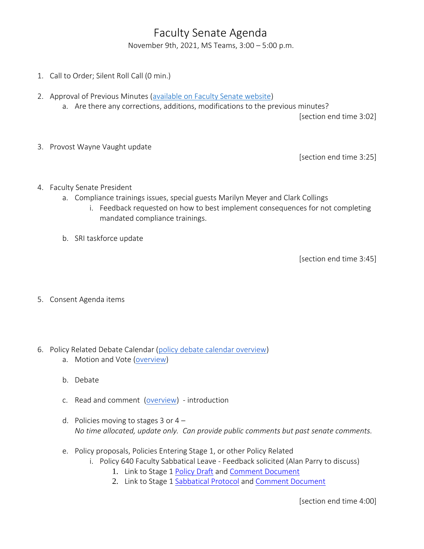## Faculty Senate Agenda

November 9th, 2021, MS Teams, 3:00 – 5:00 p.m.

- 1. Call to Order; Silent Roll Call (0 min.)
- 2. Approval of Previous Minutes [\(available on Faculty Senate website\)](https://www.uvu.edu/facsenate/minutes.html)
	- a. Are there any corrections, additions, modifications to the previous minutes?

[section end time 3:02]

3. Provost Wayne Vaught update

[section end time 3:25]

- 4. Faculty Senate President
	- a. Compliance trainings issues, special guests Marilyn Meyer and Clark Collings
		- i. Feedback requested on how to best implement consequences for not completing mandated compliance trainings.
	- b. SRI taskforce update

[section end time 3:45]

- 5. Consent Agenda items
- 6. Policy Related Debate Calendar [\(policy debate calendar overview\)](https://drive.google.com/file/d/1qcAYtZh5lFnIa680jE2JKGygThjeMyzK/view?usp=sharing)
	- a. Motion and Vote [\(overview\)](https://drive.google.com/file/d/1qcAYtZh5lFnIa680jE2JKGygThjeMyzK/view?usp=sharing)
	- b. Debate
	- c. Read and comment [\(overview\)](https://drive.google.com/file/d/1qcAYtZh5lFnIa680jE2JKGygThjeMyzK/view?usp=sharing) introduction
	- d. Policies moving to stages 3 or  $4 -$ *No time allocated, update only. Can provide public comments but past senate comments.*
	- e. Policy proposals, Policies Entering Stage 1, or other Policy Related
		- i. Policy 640 Faculty Sabbatical Leave Feedback solicited (Alan Parry to discuss)
			- 1. Link to Stage 1 [Policy Draft](https://drive.google.com/file/d/1fApsXDJYLHUDSM5TFHCCCvnnAamMqpJ8/view?usp=sharing) and [Comment Document](https://docs.google.com/document/d/1VQwxsVaLzKmJR53dy65JtCa76f130N0vaVjLfVkkDGA/edit?usp=sharing)
			- 2. Link to Stage 1 [Sabbatical Protocol](https://drive.google.com/file/d/1j-O5cpcahym_n3ZlAhpL28kExS6j_kKO/view?usp=sharing) and [Comment Document](https://docs.google.com/document/d/1wclejXm_Sa612V4dlhqkzvdvhaebRNTjmezRGU-UX0Q/edit?usp=sharing)

[section end time 4:00]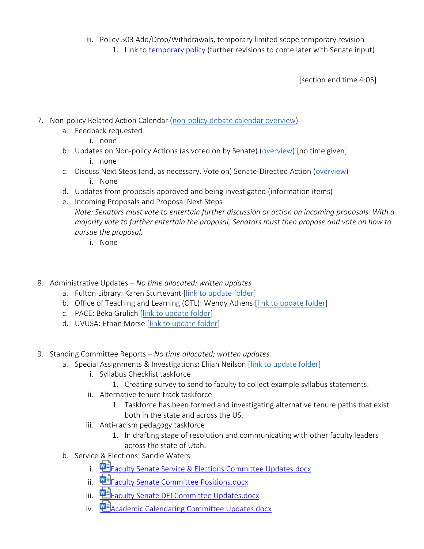- ii. Policy 503 Add/Drop/Withdrawals, temporary limited scope temporary revision
	- 1. Link to [temporary policy](https://policy.uvu.edu/getDisplayFile/618024b4d4c4fe6e2fe6808e) (further revisions to come later with Senate input)

[section end time 4:05]

- 7. Non-policy Related Action Calendar [\(non-policy debate calendar overview\)](https://docs.google.com/document/d/1zrPy0Fn9xcOhidd1XMgo1opj-lYb_9aTvLKg_NI1eLA/edit?usp=sharing)
	- a. Feedback requested
		- i. none
	- b. Updates on Non-policy Actions (as voted on by Senate) [\(overview\)](https://docs.google.com/document/d/1zrPy0Fn9xcOhidd1XMgo1opj-lYb_9aTvLKg_NI1eLA/edit#bookmark=id.20s1i57f673d) [no time given] i. none
	- c. Discuss Next Steps (and, as necessary, Vote on) Senate-Directed Action [\(overview\)](https://docs.google.com/document/d/1zrPy0Fn9xcOhidd1XMgo1opj-lYb_9aTvLKg_NI1eLA/edit#bookmark=id.1turi862unvt) i. None
	- d. Updates from proposals approved and being investigated (information items)
	- e. Incoming Proposals and Proposal Next Steps *Note: Senators must vote to entertain further discussion or action on incoming proposals. With a majority vote to further entertain the proposal, Senators must then propose and vote on how to pursue the proposal.*
		- i. None
- 8. Administrative Updates *– No time allocated; written updates*
	- a. Fulton Library: Karen Sturtevant [\[link to update folder\]](https://drive.google.com/drive/folders/1CJZnOvFahmJJZJojR2XBd0U8PclC3aHK?usp=sharing)
	- b. Office of Teaching and Learning (OTL): Wendy Athens [\[link to update folder\]](https://drive.google.com/drive/folders/1o5Tj_1mbe6qVJWyGFA9FNQMAx0zgjyM9?usp=sharing)
	- c. PACE: Beka Grulich [\[link to update folder\]](https://drive.google.com/drive/folders/1Ine7rBIg27FdgKErlcWF5p9Nx0tJNwok?usp=sharing)
	- d. UVUSA: Ethan Morse [\[link to update folder\]](https://drive.google.com/drive/folders/1GXZgi4LTLaWWG5uZ1_7PXCZi9GB43BZm?usp=sharing)
- 9. Standing Committee Reports *– No time allocated; written updates*
	- a. Special Assignments & Investigations: Elijah Neilson [\[link to update folder\]](https://drive.google.com/drive/folders/1e9MbUhAQO28YnSWhseDbZv13PkR6mIFT?usp=sharing)
		- i. Syllabus Checklist taskforce
			- 1. Creating survey to send to faculty to collect example syllabus statements.
		- ii. Alternative tenure track taskforce
			- 1. Taskforce has been formed and investigating alternative tenure paths that exist both in the state and across the US.
		- iii. Anti-racism pedagogy taskforce
			- 1. In drafting stage of resolution and communicating with other faculty leaders across the state of Utah.
	- b. Service [& E](https://uvu365.sharepoint.com/:w:/s/ServiceElectionsChairs/EXxOn1zvCHVEgniRfP0Oi9cBT2zC99MFxAB3x2KHzQZ94g?e=mKuPuw&isSPOFile=1)lections: Sandie Waters
		- i. 中国[Faculty Senate Service & Elections Committee Updates.docx](https://uvu365.sharepoint.com/:w:/s/ServiceElectionsChairs/EXxOn1zvCHVEgniRfP0Oi9cBT2zC99MFxAB3x2KHzQZ94g?e=mKuPuw&isSPOFile=1)
		- ii. **WE** [Faculty Senate Committee Positions.docx](https://uvu365.sharepoint.com/:w:/s/ServiceElectionsChairs/EbT5tySbhVJFm1LJ8jmH4_kBdIHgMC78fR-c32IeB5iPXg)
		- iii. **WE** [Faculty Senate DEI Committee Updates.docx](https://uvu365.sharepoint.com/:w:/s/DiversityEquityandInclusionFacultySenateCommittee/EeQ5Hj8UciBNo6Q-tsrfL10BzAIfBd0pxMehiIsvKGt4qw)
		- iv. **Alta [Academic Calendaring Committee Updates.docx](https://uvu365.sharepoint.com/:w:/s/AcademicCalendaringCommittee/EWUePzXIiXFDo-0BOAxf2UsBVHFmEYbYSrBnzfhU9agBoQ)**